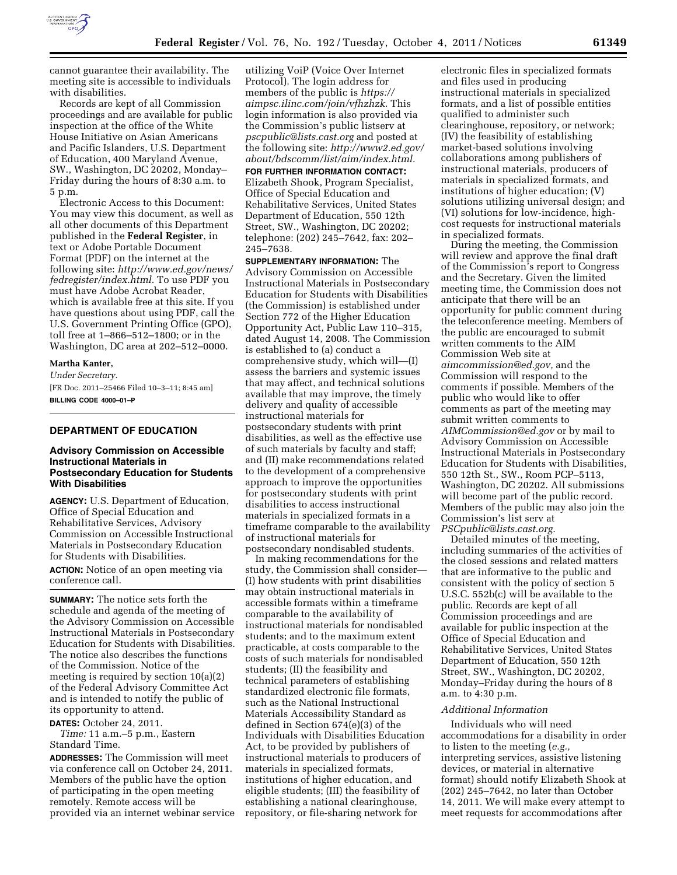

cannot guarantee their availability. The meeting site is accessible to individuals with disabilities.

Records are kept of all Commission proceedings and are available for public inspection at the office of the White House Initiative on Asian Americans and Pacific Islanders, U.S. Department of Education, 400 Maryland Avenue, SW., Washington, DC 20202, Monday– Friday during the hours of 8:30 a.m. to 5 p.m.

Electronic Access to this Document: You may view this document, as well as all other documents of this Department published in the **Federal Register**, in text or Adobe Portable Document Format (PDF) on the internet at the following site: *[http://www.ed.gov/news/](http://www.ed.gov/news/fedregister/index.html) [fedregister/index.html.](http://www.ed.gov/news/fedregister/index.html)* To use PDF you must have Adobe Acrobat Reader, which is available free at this site. If you have questions about using PDF, call the U.S. Government Printing Office (GPO), toll free at 1–866–512–1800; or in the Washington, DC area at 202–512–0000.

#### **Martha Kanter,**

*Under Secretary.*  [FR Doc. 2011–25466 Filed 10–3–11; 8:45 am] **BILLING CODE 4000–01–P** 

### **DEPARTMENT OF EDUCATION**

### **Advisory Commission on Accessible Instructional Materials in Postsecondary Education for Students With Disabilities**

**AGENCY:** U.S. Department of Education, Office of Special Education and Rehabilitative Services, Advisory Commission on Accessible Instructional Materials in Postsecondary Education for Students with Disabilities. **ACTION:** Notice of an open meeting via

conference call.

**SUMMARY:** The notice sets forth the schedule and agenda of the meeting of the Advisory Commission on Accessible Instructional Materials in Postsecondary Education for Students with Disabilities. The notice also describes the functions of the Commission. Notice of the meeting is required by section 10(a)(2) of the Federal Advisory Committee Act and is intended to notify the public of its opportunity to attend.

**DATES:** October 24, 2011.

*Time:* 11 a.m.–5 p.m., Eastern Standard Time.

**ADDRESSES:** The Commission will meet via conference call on October 24, 2011. Members of the public have the option of participating in the open meeting remotely. Remote access will be provided via an internet webinar service

utilizing VoiP (Voice Over Internet Protocol). The login address for members of the public is *[https://](https://aimpsc.ilinc.com/join/vfhzhzk)  [aimpsc.ilinc.com/join/vfhzhzk.](https://aimpsc.ilinc.com/join/vfhzhzk)* This login information is also provided via the Commission's public listserv at *[pscpublic@lists.cast.org](mailto:pscpublic@lists.cast.org)* and posted at the following site: *[http://www2.ed.gov/](http://www2.ed.gov/about/bdscomm/list/aim/index.html)  [about/bdscomm/list/aim/index.html.](http://www2.ed.gov/about/bdscomm/list/aim/index.html)* 

**FOR FURTHER INFORMATION CONTACT:**  Elizabeth Shook, Program Specialist, Office of Special Education and Rehabilitative Services, United States Department of Education, 550 12th Street, SW., Washington, DC 20202; telephone: (202) 245–7642, fax: 202– 245–7638.

**SUPPLEMENTARY INFORMATION:** The Advisory Commission on Accessible Instructional Materials in Postsecondary Education for Students with Disabilities (the Commission) is established under Section 772 of the Higher Education Opportunity Act, Public Law 110–315, dated August 14, 2008. The Commission is established to (a) conduct a comprehensive study, which will—(I) assess the barriers and systemic issues that may affect, and technical solutions available that may improve, the timely delivery and quality of accessible instructional materials for postsecondary students with print disabilities, as well as the effective use of such materials by faculty and staff; and (II) make recommendations related to the development of a comprehensive approach to improve the opportunities for postsecondary students with print disabilities to access instructional materials in specialized formats in a timeframe comparable to the availability of instructional materials for postsecondary nondisabled students.

In making recommendations for the study, the Commission shall consider— (I) how students with print disabilities may obtain instructional materials in accessible formats within a timeframe comparable to the availability of instructional materials for nondisabled students; and to the maximum extent practicable, at costs comparable to the costs of such materials for nondisabled students; (II) the feasibility and technical parameters of establishing standardized electronic file formats, such as the National Instructional Materials Accessibility Standard as defined in Section 674(e)(3) of the Individuals with Disabilities Education Act, to be provided by publishers of instructional materials to producers of materials in specialized formats, institutions of higher education, and eligible students; (III) the feasibility of establishing a national clearinghouse, repository, or file-sharing network for

electronic files in specialized formats and files used in producing instructional materials in specialized formats, and a list of possible entities qualified to administer such clearinghouse, repository, or network; (IV) the feasibility of establishing market-based solutions involving collaborations among publishers of instructional materials, producers of materials in specialized formats, and institutions of higher education; (V) solutions utilizing universal design; and (VI) solutions for low-incidence, highcost requests for instructional materials in specialized formats.

During the meeting, the Commission will review and approve the final draft of the Commission's report to Congress and the Secretary. Given the limited meeting time, the Commission does not anticipate that there will be an opportunity for public comment during the teleconference meeting. Members of the public are encouraged to submit written comments to the AIM Commission Web site at *[aimcommission@ed.gov,](mailto:aimcommission@ed.gov)* and the Commission will respond to the comments if possible. Members of the public who would like to offer comments as part of the meeting may submit written comments to *[AIMCommission@ed.gov](mailto:AIMCommission@ed.gov)* or by mail to Advisory Commission on Accessible Instructional Materials in Postsecondary Education for Students with Disabilities, 550 12th St., SW., Room PCP–5113, Washington, DC 20202. All submissions will become part of the public record. Members of the public may also join the Commission's list serv at *[PSCpublic@lists.cast.org.](mailto:PSCpublic@lists.cast.org)* 

Detailed minutes of the meeting, including summaries of the activities of the closed sessions and related matters that are informative to the public and consistent with the policy of section 5 U.S.C. 552b(c) will be available to the public. Records are kept of all Commission proceedings and are available for public inspection at the Office of Special Education and Rehabilitative Services, United States Department of Education, 550 12th Street, SW., Washington, DC 20202, Monday–Friday during the hours of 8 a.m. to 4:30 p.m.

#### *Additional Information*

Individuals who will need accommodations for a disability in order to listen to the meeting (*e.g.,*  interpreting services, assistive listening devices, or material in alternative format) should notify Elizabeth Shook at (202) 245–7642, no later than October 14, 2011. We will make every attempt to meet requests for accommodations after